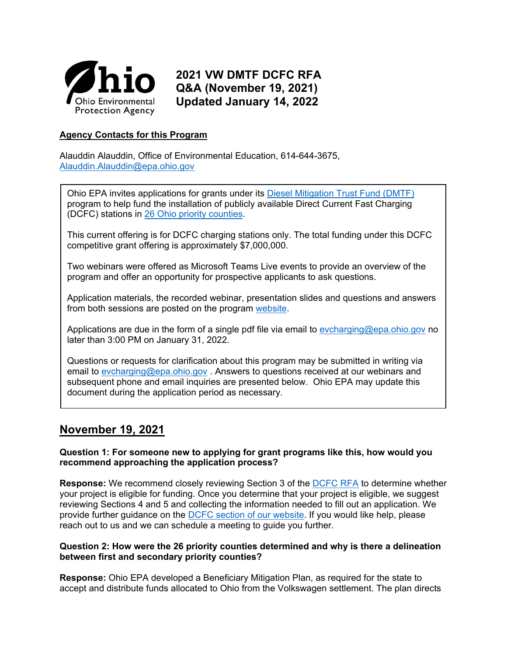

# **2021 VW DMTF DCFC RFA Q&A (November 19, 2021) Updated January 14, 2022**

## **Agency Contacts for this Program**

Alauddin Alauddin, Office of Environmental Education, 614-644-3675, [Alauddin.Alauddin@epa.ohio.gov](mailto:Alauddin.Alauddin@epa.ohio.gov)

Ohio EPA invites applications for grants under its [Diesel Mitigation Trust Fund \(DMTF\)](http://epa.ohio.gov/oee/#131365122-vw-mitigation-grants) program to help fund the installation of publicly available Direct Current Fast Charging (DCFC) stations in [26 Ohio priority counties.](https://epa.ohio.gov/Portals/42/documents/VW/DMTF%20priority%20counties%20final.jpg)

This current offering is for DCFC charging stations only. The total funding under this DCFC competitive grant offering is approximately \$7,000,000.

Two webinars were offered as Microsoft Teams Live events to provide an overview of the program and offer an opportunity for prospective applicants to ask questions.

[Application materials, the recorded webinar, presentation slides and questions and answers](https://epa.ohio.gov/divisions-and-offices/environmental-education/grant-programs/vw-mitigation-grants)  from both sessions are posted on the program [website.](https://epa.ohio.gov/divisions-and-offices/environmental-education/grant-programs/vw-mitigation-grants#DMTF2021RequestforApplicationsforDCFastChargingStations)

Applications are due in the form of a single pdf file via email to [evcharging@epa.ohio.gov](mailto:evcharging@epa.ohio.gov) no later than 3:00 PM on January 31, 2022.

Questions or requests for clarification about this program may be submitted in writing via email to [evcharging@epa.ohio.gov](mailto:evcharging@epa.ohio.gov) . Answers to questions received at our webinars and subsequent phone and email inquiries are presented below. Ohio EPA may update this document during the application period as necessary.

## **November 19, 2021**

## **Question 1: For someone new to applying for grant programs like this, how would you recommend approaching the application process?**

**Response:** We recommend closely reviewing Section 3 of the [DCFC RFA](https://epa.ohio.gov/Portals/42/documents/DMTF/DMTF-EVSE-DCFC-RFA.pdf) to determine whether your project is eligible for funding. Once you determine that your project is eligible, we suggest reviewing Sections 4 and 5 and collecting the information needed to fill out an application. We provide further guidance on the [DCFC section of our website.](https://epa.ohio.gov/oee/#1844010825-dmtf-2021-request-for-applications-for-dc-fast-charging-stations) If you would like help, please reach out to us and we can schedule a meeting to guide you further.

## **Question 2: How were the 26 priority counties determined and why is there a delineation between first and secondary priority counties?**

**Response:** Ohio EPA developed a Beneficiary Mitigation Plan, as required for the state to accept and distribute funds allocated to Ohio from the Volkswagen settlement. The plan directs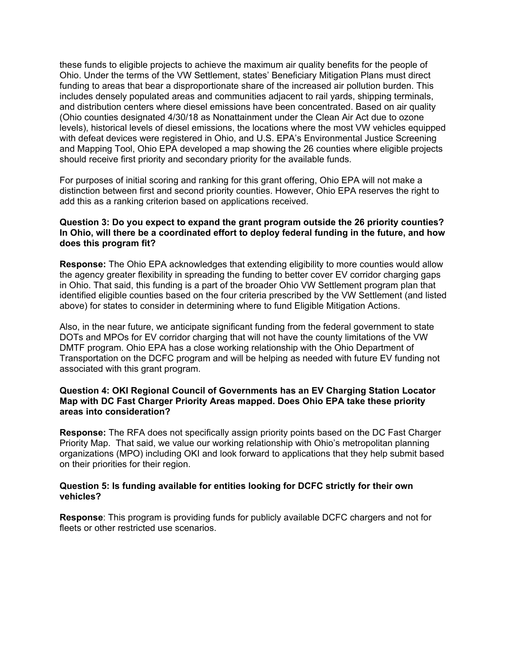these funds to eligible projects to achieve the maximum air quality benefits for the people of Ohio. Under the terms of the VW Settlement, states' Beneficiary Mitigation Plans must direct funding to areas that bear a disproportionate share of the increased air pollution burden. This includes densely populated areas and communities adjacent to rail yards, shipping terminals, and distribution centers where diesel emissions have been concentrated. Based on air quality (Ohio counties designated 4/30/18 as Nonattainment under the Clean Air Act due to ozone levels), historical levels of diesel emissions, the locations where the most VW vehicles equipped with defeat devices were registered in Ohio, and U.S. EPA's Environmental Justice Screening and Mapping Tool, Ohio EPA developed a map showing the 26 counties where eligible projects should receive first priority and secondary priority for the available funds.

For purposes of initial scoring and ranking for this grant offering, Ohio EPA will not make a distinction between first and second priority counties. However, Ohio EPA reserves the right to add this as a ranking criterion based on applications received.

#### **Question 3: Do you expect to expand the grant program outside the 26 priority counties? In Ohio, will there be a coordinated effort to deploy federal funding in the future, and how does this program fit?**

**Response:** The Ohio EPA acknowledges that extending eligibility to more counties would allow the agency greater flexibility in spreading the funding to better cover EV corridor charging gaps in Ohio. That said, this funding is a part of the broader Ohio VW Settlement program plan that identified eligible counties based on the four criteria prescribed by the VW Settlement (and listed above) for states to consider in determining where to fund Eligible Mitigation Actions.

Also, in the near future, we anticipate significant funding from the federal government to state DOTs and MPOs for EV corridor charging that will not have the county limitations of the VW DMTF program. Ohio EPA has a close working relationship with the Ohio Department of Transportation on the DCFC program and will be helping as needed with future EV funding not associated with this grant program.

#### **Question 4: OKI Regional Council of Governments has an EV Charging Station Locator Map with DC Fast Charger Priority Areas mapped. Does Ohio EPA take these priority areas into consideration?**

**Response:** The RFA does not specifically assign priority points based on the DC Fast Charger Priority Map. That said, we value our working relationship with Ohio's metropolitan planning organizations (MPO) including OKI and look forward to applications that they help submit based on their priorities for their region.

## **Question 5: Is funding available for entities looking for DCFC strictly for their own vehicles?**

**Response**: This program is providing funds for publicly available DCFC chargers and not for fleets or other restricted use scenarios.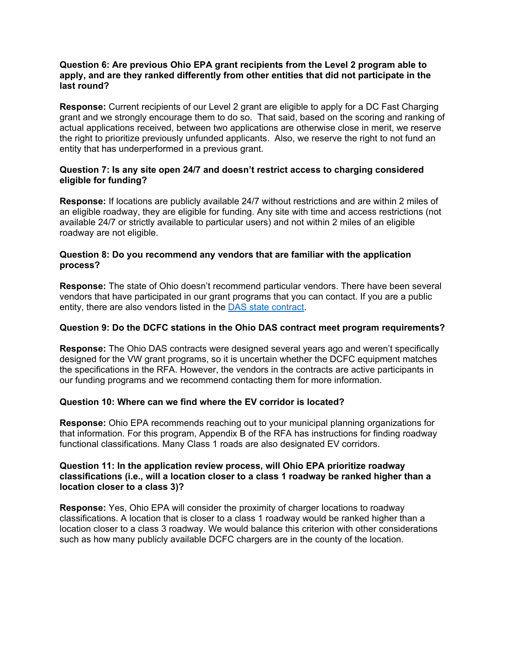#### **Question 6: Are previous Ohio EPA grant recipients from the Level 2 program able to apply, and are they ranked differently from other entities that did not participate in the last round?**

**Response:** Current recipients of our Level 2 grant are eligible to apply for a DC Fast Charging grant and we strongly encourage them to do so. That said, based on the scoring and ranking of actual applications received, between two applications are otherwise close in merit, we reserve the right to prioritize previously unfunded applicants. Also, we reserve the right to not fund an entity that has underperformed in a previous grant.

## **Question 7: Is any site open 24/7 and doesn't restrict access to charging considered eligible for funding?**

**Response:** If locations are publicly available 24/7 without restrictions and are within 2 miles of an eligible roadway, they are eligible for funding. Any site with time and access restrictions (not available 24/7 or strictly available to particular users) and not within 2 miles of an eligible roadway are not eligible.

## **Question 8: Do you recommend any vendors that are familiar with the application process?**

**Response:** The state of Ohio doesn't recommend particular vendors. There have been several vendors that have participated in our grant programs that you can contact. If you are a public entity, there are also vendors listed in the [DAS state contract.](https://procure.ohio.gov/proc/viewContractsAwards.asp?contractID=36761)

## **Question 9: Do the DCFC stations in the Ohio DAS contract meet program requirements?**

**Response:** The Ohio DAS contracts were designed several years ago and weren't specifically designed for the VW grant programs, so it is uncertain whether the DCFC equipment matches the specifications in the RFA. However, the vendors in the contracts are active participants in our funding programs and we recommend contacting them for more information.

## **Question 10: Where can we find where the EV corridor is located?**

**Response:** Ohio EPA recommends reaching out to your municipal planning organizations for that information. For this program, Appendix B of the RFA has instructions for finding roadway functional classifications. Many Class 1 roads are also designated EV corridors.

#### **Question 11: In the application review process, will Ohio EPA prioritize roadway classifications (i.e., will a location closer to a class 1 roadway be ranked higher than a location closer to a class 3)?**

**Response:** Yes, Ohio EPA will consider the proximity of charger locations to roadway classifications. A location that is closer to a class 1 roadway would be ranked higher than a location closer to a class 3 roadway. We would balance this criterion with other considerations such as how many publicly available DCFC chargers are in the county of the location.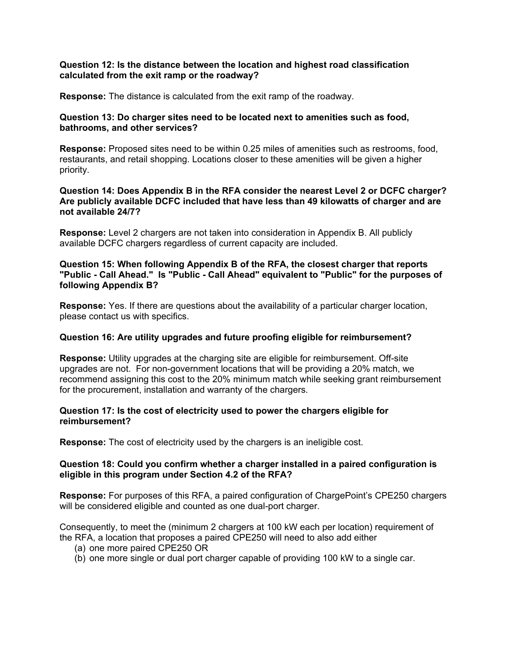#### **Question 12: Is the distance between the location and highest road classification calculated from the exit ramp or the roadway?**

**Response:** The distance is calculated from the exit ramp of the roadway.

## **Question 13: Do charger sites need to be located next to amenities such as food, bathrooms, and other services?**

**Response:** Proposed sites need to be within 0.25 miles of amenities such as restrooms, food, restaurants, and retail shopping. Locations closer to these amenities will be given a higher priority.

#### **Question 14: Does Appendix B in the RFA consider the nearest Level 2 or DCFC charger? Are publicly available DCFC included that have less than 49 kilowatts of charger and are not available 24/7?**

**Response:** Level 2 chargers are not taken into consideration in Appendix B. All publicly available DCFC chargers regardless of current capacity are included.

## **Question 15: When following Appendix B of the RFA, the closest charger that reports "Public - Call Ahead." Is "Public - Call Ahead" equivalent to "Public" for the purposes of following Appendix B?**

**Response:** Yes. If there are questions about the availability of a particular charger location, please contact us with specifics.

## **Question 16: Are utility upgrades and future proofing eligible for reimbursement?**

**Response:** Utility upgrades at the charging site are eligible for reimbursement. Off-site upgrades are not. For non-government locations that will be providing a 20% match, we recommend assigning this cost to the 20% minimum match while seeking grant reimbursement for the procurement, installation and warranty of the chargers.

## **Question 17: Is the cost of electricity used to power the chargers eligible for reimbursement?**

**Response:** The cost of electricity used by the chargers is an ineligible cost.

## **Question 18: Could you confirm whether a charger installed in a paired configuration is eligible in this program under Section 4.2 of the RFA?**

**Response:** For purposes of this RFA, a paired configuration of ChargePoint's CPE250 chargers will be considered eligible and counted as one dual-port charger.

Consequently, to meet the (minimum 2 chargers at 100 kW each per location) requirement of the RFA, a location that proposes a paired CPE250 will need to also add either

- (a) one more paired CPE250 OR
- (b) one more single or dual port charger capable of providing 100 kW to a single car.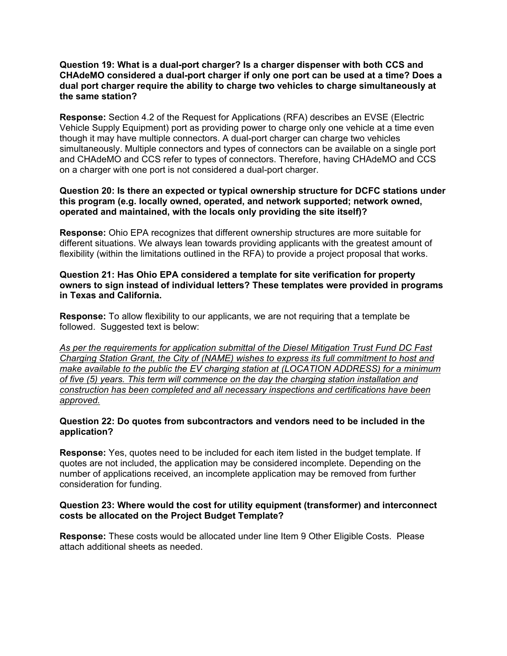#### **Question 19: What is a dual-port charger? Is a charger dispenser with both CCS and CHAdeMO considered a dual-port charger if only one port can be used at a time? Does a dual port charger require the ability to charge two vehicles to charge simultaneously at the same station?**

**Response:** Section 4.2 of the Request for Applications (RFA) describes an EVSE (Electric Vehicle Supply Equipment) port as providing power to charge only one vehicle at a time even though it may have multiple connectors. A dual-port charger can charge two vehicles simultaneously. Multiple connectors and types of connectors can be available on a single port and CHAdeMO and CCS refer to types of connectors. Therefore, having CHAdeMO and CCS on a charger with one port is not considered a dual-port charger.

## **Question 20: Is there an expected or typical ownership structure for DCFC stations under this program (e.g. locally owned, operated, and network supported; network owned, operated and maintained, with the locals only providing the site itself)?**

**Response:** Ohio EPA recognizes that different ownership structures are more suitable for different situations. We always lean towards providing applicants with the greatest amount of flexibility (within the limitations outlined in the RFA) to provide a project proposal that works.

## **Question 21: Has Ohio EPA considered a template for site verification for property owners to sign instead of individual letters? These templates were provided in programs in Texas and California.**

**Response:** To allow flexibility to our applicants, we are not requiring that a template be followed. Suggested text is below:

*As per the requirements for application submittal of the Diesel Mitigation Trust Fund DC Fast Charging Station Grant, the City of (NAME) wishes to express its full commitment to host and make available to the public the EV charging station at (LOCATION ADDRESS) for a minimum of five (5) years. This term will commence on the day the charging station installation and construction has been completed and all necessary inspections and certifications have been approved.*

## **Question 22: Do quotes from subcontractors and vendors need to be included in the application?**

**Response:** Yes, quotes need to be included for each item listed in the budget template. If quotes are not included, the application may be considered incomplete. Depending on the number of applications received, an incomplete application may be removed from further consideration for funding.

## **Question 23: Where would the cost for utility equipment (transformer) and interconnect costs be allocated on the Project Budget Template?**

**Response:** These costs would be allocated under line Item 9 Other Eligible Costs. Please attach additional sheets as needed.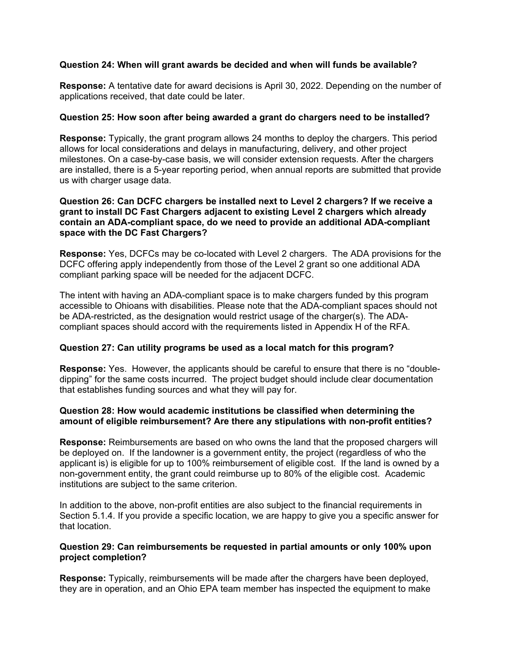## **Question 24: When will grant awards be decided and when will funds be available?**

**Response:** A tentative date for award decisions is April 30, 2022. Depending on the number of applications received, that date could be later.

## **Question 25: How soon after being awarded a grant do chargers need to be installed?**

**Response:** Typically, the grant program allows 24 months to deploy the chargers. This period allows for local considerations and delays in manufacturing, delivery, and other project milestones. On a case-by-case basis, we will consider extension requests. After the chargers are installed, there is a 5-year reporting period, when annual reports are submitted that provide us with charger usage data.

## **Question 26: Can DCFC chargers be installed next to Level 2 chargers? If we receive a grant to install DC Fast Chargers adjacent to existing Level 2 chargers which already contain an ADA-compliant space, do we need to provide an additional ADA-compliant space with the DC Fast Chargers?**

**Response:** Yes, DCFCs may be co-located with Level 2 chargers. The ADA provisions for the DCFC offering apply independently from those of the Level 2 grant so one additional ADA compliant parking space will be needed for the adjacent DCFC.

The intent with having an ADA-compliant space is to make chargers funded by this program accessible to Ohioans with disabilities. Please note that the ADA-compliant spaces should not be ADA-restricted, as the designation would restrict usage of the charger(s). The ADAcompliant spaces should accord with the requirements listed in Appendix H of the RFA.

## **Question 27: Can utility programs be used as a local match for this program?**

**Response:** Yes. However, the applicants should be careful to ensure that there is no "doubledipping" for the same costs incurred. The project budget should include clear documentation that establishes funding sources and what they will pay for.

## **Question 28: How would academic institutions be classified when determining the amount of eligible reimbursement? Are there any stipulations with non-profit entities?**

**Response:** Reimbursements are based on who owns the land that the proposed chargers will be deployed on. If the landowner is a government entity, the project (regardless of who the applicant is) is eligible for up to 100% reimbursement of eligible cost. If the land is owned by a non-government entity, the grant could reimburse up to 80% of the eligible cost. Academic institutions are subject to the same criterion.

In addition to the above, non-profit entities are also subject to the financial requirements in Section 5.1.4. If you provide a specific location, we are happy to give you a specific answer for that location.

#### **Question 29: Can reimbursements be requested in partial amounts or only 100% upon project completion?**

**Response:** Typically, reimbursements will be made after the chargers have been deployed, they are in operation, and an Ohio EPA team member has inspected the equipment to make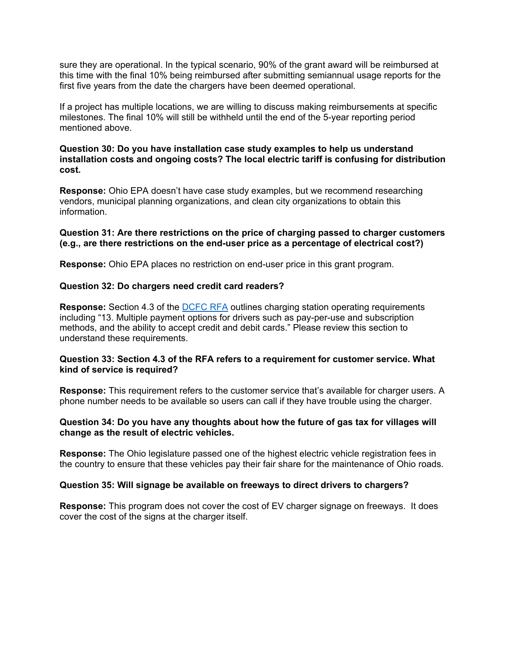sure they are operational. In the typical scenario, 90% of the grant award will be reimbursed at this time with the final 10% being reimbursed after submitting semiannual usage reports for the first five years from the date the chargers have been deemed operational.

If a project has multiple locations, we are willing to discuss making reimbursements at specific milestones. The final 10% will still be withheld until the end of the 5-year reporting period mentioned above.

#### **Question 30: Do you have installation case study examples to help us understand installation costs and ongoing costs? The local electric tariff is confusing for distribution cost.**

**Response:** Ohio EPA doesn't have case study examples, but we recommend researching vendors, municipal planning organizations, and clean city organizations to obtain this information.

#### **Question 31: Are there restrictions on the price of charging passed to charger customers (e.g., are there restrictions on the end-user price as a percentage of electrical cost?)**

**Response:** Ohio EPA places no restriction on end-user price in this grant program.

#### **Question 32: Do chargers need credit card readers?**

**Response:** Section 4.3 of the [DCFC RFA](https://epa.ohio.gov/Portals/42/documents/DMTF/DMTF-EVSE-DCFC-RFA.pdf) outlines charging station operating requirements including "13. Multiple payment options for drivers such as pay-per-use and subscription methods, and the ability to accept credit and debit cards." Please review this section to understand these requirements.

#### **Question 33: Section 4.3 of the RFA refers to a requirement for customer service. What kind of service is required?**

**Response:** This requirement refers to the customer service that's available for charger users. A phone number needs to be available so users can call if they have trouble using the charger.

#### **Question 34: Do you have any thoughts about how the future of gas tax for villages will change as the result of electric vehicles.**

**Response:** The Ohio legislature passed one of the highest electric vehicle registration fees in the country to ensure that these vehicles pay their fair share for the maintenance of Ohio roads.

#### **Question 35: Will signage be available on freeways to direct drivers to chargers?**

**Response:** This program does not cover the cost of EV charger signage on freeways. It does cover the cost of the signs at the charger itself.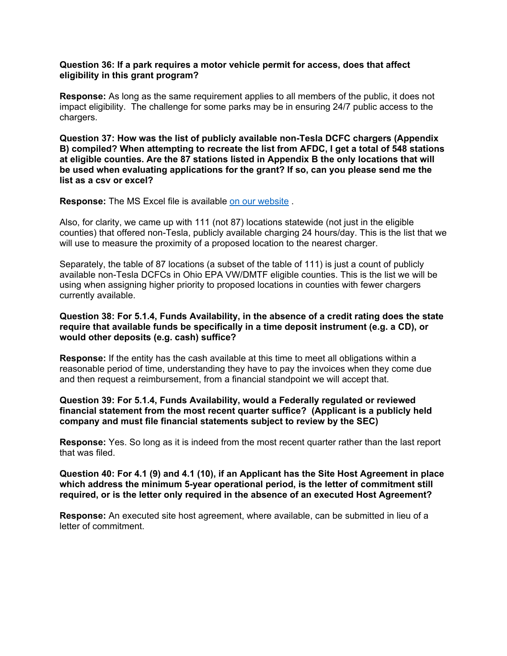#### **Question 36: If a park requires a motor vehicle permit for access, does that affect eligibility in this grant program?**

**Response:** As long as the same requirement applies to all members of the public, it does not impact eligibility. The challenge for some parks may be in ensuring 24/7 public access to the chargers.

**Question 37: How was the list of publicly available non-Tesla DCFC chargers (Appendix B) compiled? When attempting to recreate the list from AFDC, I get a total of 548 stations at eligible counties. Are the 87 stations listed in Appendix B the only locations that will be used when evaluating applications for the grant? If so, can you please send me the list as a csv or excel?**

**Response:** The MS Excel file is available [on our website](https://epa.ohio.gov/oee/#1844010825-dmtf-2021-request-for-applications-for-dc-fast-charging-stations) .

Also, for clarity, we came up with 111 (not 87) locations statewide (not just in the eligible counties) that offered non-Tesla, publicly available charging 24 hours/day. This is the list that we will use to measure the proximity of a proposed location to the nearest charger.

Separately, the table of 87 locations (a subset of the table of 111) is just a count of publicly available non-Tesla DCFCs in Ohio EPA VW/DMTF eligible counties. This is the list we will be using when assigning higher priority to proposed locations in counties with fewer chargers currently available.

## **Question 38: For 5.1.4, Funds Availability, in the absence of a credit rating does the state require that available funds be specifically in a time deposit instrument (e.g. a CD), or would other deposits (e.g. cash) suffice?**

**Response:** If the entity has the cash available at this time to meet all obligations within a reasonable period of time, understanding they have to pay the invoices when they come due and then request a reimbursement, from a financial standpoint we will accept that.

## **Question 39: For 5.1.4, Funds Availability, would a Federally regulated or reviewed financial statement from the most recent quarter suffice? (Applicant is a publicly held company and must file financial statements subject to review by the SEC)**

**Response:** Yes. So long as it is indeed from the most recent quarter rather than the last report that was filed.

#### **Question 40: For 4.1 (9) and 4.1 (10), if an Applicant has the Site Host Agreement in place which address the minimum 5-year operational period, is the letter of commitment still required, or is the letter only required in the absence of an executed Host Agreement?**

**Response:** An executed site host agreement, where available, can be submitted in lieu of a letter of commitment.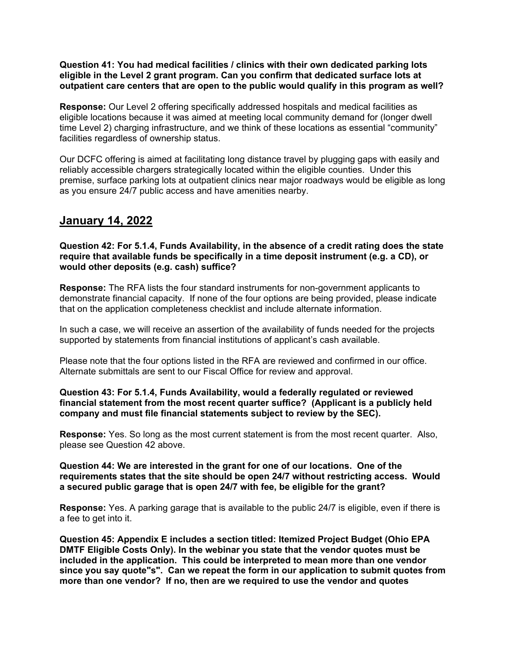**Question 41: You had medical facilities / clinics with their own dedicated parking lots eligible in the Level 2 grant program. Can you confirm that dedicated surface lots at outpatient care centers that are open to the public would qualify in this program as well?**

**Response:** Our Level 2 offering specifically addressed hospitals and medical facilities as eligible locations because it was aimed at meeting local community demand for (longer dwell time Level 2) charging infrastructure, and we think of these locations as essential "community" facilities regardless of ownership status.

Our DCFC offering is aimed at facilitating long distance travel by plugging gaps with easily and reliably accessible chargers strategically located within the eligible counties. Under this premise, surface parking lots at outpatient clinics near major roadways would be eligible as long as you ensure 24/7 public access and have amenities nearby.

## **January 14, 2022**

**Question 42: For 5.1.4, Funds Availability, in the absence of a credit rating does the state require that available funds be specifically in a time deposit instrument (e.g. a CD), or would other deposits (e.g. cash) suffice?**

**Response:** The RFA lists the four standard instruments for non-government applicants to demonstrate financial capacity. If none of the four options are being provided, please indicate that on the application completeness checklist and include alternate information.

In such a case, we will receive an assertion of the availability of funds needed for the projects supported by statements from financial institutions of applicant's cash available.

Please note that the four options listed in the RFA are reviewed and confirmed in our office. Alternate submittals are sent to our Fiscal Office for review and approval.

#### **Question 43: For 5.1.4, Funds Availability, would a federally regulated or reviewed financial statement from the most recent quarter suffice? (Applicant is a publicly held company and must file financial statements subject to review by the SEC).**

**Response:** Yes. So long as the most current statement is from the most recent quarter. Also, please see Question 42 above.

**Question 44: We are interested in the grant for one of our locations. One of the requirements states that the site should be open 24/7 without restricting access. Would a secured public garage that is open 24/7 with fee, be eligible for the grant?**

**Response:** Yes. A parking garage that is available to the public 24/7 is eligible, even if there is a fee to get into it.

**Question 45: Appendix E includes a section titled: Itemized Project Budget (Ohio EPA DMTF Eligible Costs Only). In the webinar you state that the vendor quotes must be included in the application. This could be interpreted to mean more than one vendor since you say quote"s". Can we repeat the form in our application to submit quotes from more than one vendor? If no, then are we required to use the vendor and quotes**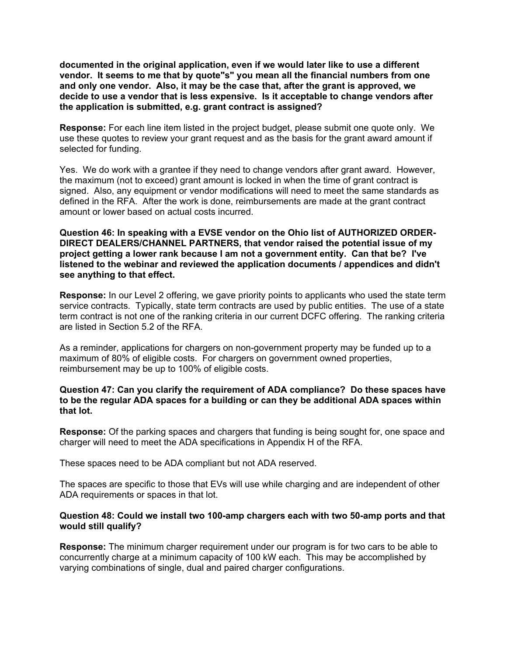**documented in the original application, even if we would later like to use a different vendor. It seems to me that by quote"s" you mean all the financial numbers from one and only one vendor. Also, it may be the case that, after the grant is approved, we decide to use a vendor that is less expensive. Is it acceptable to change vendors after the application is submitted, e.g. grant contract is assigned?**

**Response:** For each line item listed in the project budget, please submit one quote only. We use these quotes to review your grant request and as the basis for the grant award amount if selected for funding.

Yes. We do work with a grantee if they need to change vendors after grant award. However, the maximum (not to exceed) grant amount is locked in when the time of grant contract is signed. Also, any equipment or vendor modifications will need to meet the same standards as defined in the RFA. After the work is done, reimbursements are made at the grant contract amount or lower based on actual costs incurred.

**Question 46: In speaking with a EVSE vendor on the Ohio list of AUTHORIZED ORDER-DIRECT DEALERS/CHANNEL PARTNERS, that vendor raised the potential issue of my project getting a lower rank because I am not a government entity. Can that be? I've listened to the webinar and reviewed the application documents / appendices and didn't see anything to that effect.**

**Response:** In our Level 2 offering, we gave priority points to applicants who used the state term service contracts. Typically, state term contracts are used by public entities. The use of a state term contract is not one of the ranking criteria in our current DCFC offering. The ranking criteria are listed in Section 5.2 of the RFA.

As a reminder, applications for chargers on non-government property may be funded up to a maximum of 80% of eligible costs. For chargers on government owned properties, reimbursement may be up to 100% of eligible costs.

#### **Question 47: Can you clarify the requirement of ADA compliance? Do these spaces have to be the regular ADA spaces for a building or can they be additional ADA spaces within that lot.**

**Response:** Of the parking spaces and chargers that funding is being sought for, one space and charger will need to meet the ADA specifications in Appendix H of the RFA.

These spaces need to be ADA compliant but not ADA reserved.

The spaces are specific to those that EVs will use while charging and are independent of other ADA requirements or spaces in that lot.

#### **Question 48: Could we install two 100-amp chargers each with two 50-amp ports and that would still qualify?**

**Response:** The minimum charger requirement under our program is for two cars to be able to concurrently charge at a minimum capacity of 100 kW each. This may be accomplished by varying combinations of single, dual and paired charger configurations.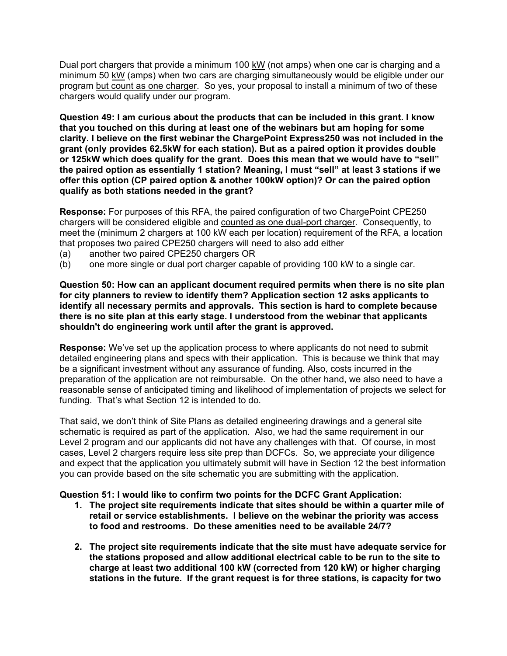Dual port chargers that provide a minimum 100 kW (not amps) when one car is charging and a minimum 50 kW (amps) when two cars are charging simultaneously would be eligible under our program but count as one charger. So yes, your proposal to install a minimum of two of these chargers would qualify under our program.

**Question 49: I am curious about the products that can be included in this grant. I know that you touched on this during at least one of the webinars but am hoping for some clarity. I believe on the first webinar the ChargePoint Express250 was not included in the grant (only provides 62.5kW for each station). But as a paired option it provides double or 125kW which does qualify for the grant. Does this mean that we would have to "sell" the paired option as essentially 1 station? Meaning, I must "sell" at least 3 stations if we offer this option (CP paired option & another 100kW option)? Or can the paired option qualify as both stations needed in the grant?**

**Response:** For purposes of this RFA, the paired configuration of two ChargePoint CPE250 chargers will be considered eligible and counted as one dual-port charger. Consequently, to meet the (minimum 2 chargers at 100 kW each per location) requirement of the RFA, a location that proposes two paired CPE250 chargers will need to also add either

- (a) another two paired CPE250 chargers OR
- (b) one more single or dual port charger capable of providing 100 kW to a single car.

**Question 50: How can an applicant document required permits when there is no site plan for city planners to review to identify them? Application section 12 asks applicants to identify all necessary permits and approvals. This section is hard to complete because there is no site plan at this early stage. I understood from the webinar that applicants shouldn't do engineering work until after the grant is approved.**

**Response:** We've set up the application process to where applicants do not need to submit detailed engineering plans and specs with their application. This is because we think that may be a significant investment without any assurance of funding. Also, costs incurred in the preparation of the application are not reimbursable. On the other hand, we also need to have a reasonable sense of anticipated timing and likelihood of implementation of projects we select for funding. That's what Section 12 is intended to do.

That said, we don't think of Site Plans as detailed engineering drawings and a general site schematic is required as part of the application. Also, we had the same requirement in our Level 2 program and our applicants did not have any challenges with that. Of course, in most cases, Level 2 chargers require less site prep than DCFCs. So, we appreciate your diligence and expect that the application you ultimately submit will have in Section 12 the best information you can provide based on the site schematic you are submitting with the application.

#### **Question 51: I would like to confirm two points for the DCFC Grant Application:**

- **1. The project site requirements indicate that sites should be within a quarter mile of retail or service establishments. I believe on the webinar the priority was access to food and restrooms. Do these amenities need to be available 24/7?**
- **2. The project site requirements indicate that the site must have adequate service for the stations proposed and allow additional electrical cable to be run to the site to charge at least two additional 100 kW (corrected from 120 kW) or higher charging stations in the future. If the grant request is for three stations, is capacity for two**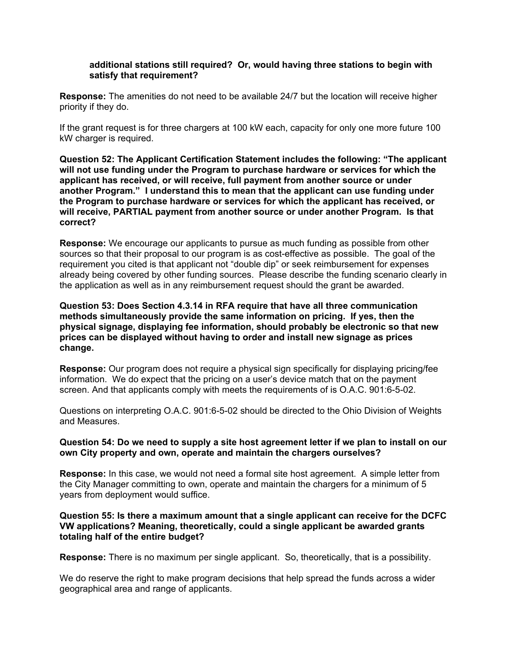## **additional stations still required? Or, would having three stations to begin with satisfy that requirement?**

**Response:** The amenities do not need to be available 24/7 but the location will receive higher priority if they do.

If the grant request is for three chargers at 100 kW each, capacity for only one more future 100 kW charger is required.

**Question 52: The Applicant Certification Statement includes the following: "The applicant will not use funding under the Program to purchase hardware or services for which the applicant has received, or will receive, full payment from another source or under another Program." I understand this to mean that the applicant can use funding under the Program to purchase hardware or services for which the applicant has received, or will receive, PARTIAL payment from another source or under another Program. Is that correct?**

**Response:** We encourage our applicants to pursue as much funding as possible from other sources so that their proposal to our program is as cost-effective as possible. The goal of the requirement you cited is that applicant not "double dip" or seek reimbursement for expenses already being covered by other funding sources. Please describe the funding scenario clearly in the application as well as in any reimbursement request should the grant be awarded.

**Question 53: Does Section 4.3.14 in RFA require that have all three communication methods simultaneously provide the same information on pricing. If yes, then the physical signage, displaying fee information, should probably be electronic so that new prices can be displayed without having to order and install new signage as prices change.**

**Response:** Our program does not require a physical sign specifically for displaying pricing/fee information. We do expect that the pricing on a user's device match that on the payment screen. And that applicants comply with meets the requirements of is O.A.C. 901:6-5-02.

Questions on interpreting O.A.C. 901:6-5-02 should be directed to the Ohio Division of Weights and Measures.

## **Question 54: Do we need to supply a site host agreement letter if we plan to install on our own City property and own, operate and maintain the chargers ourselves?**

**Response:** In this case, we would not need a formal site host agreement. A simple letter from the City Manager committing to own, operate and maintain the chargers for a minimum of 5 years from deployment would suffice.

## **Question 55: Is there a maximum amount that a single applicant can receive for the DCFC VW applications? Meaning, theoretically, could a single applicant be awarded grants totaling half of the entire budget?**

**Response:** There is no maximum per single applicant. So, theoretically, that is a possibility.

We do reserve the right to make program decisions that help spread the funds across a wider geographical area and range of applicants.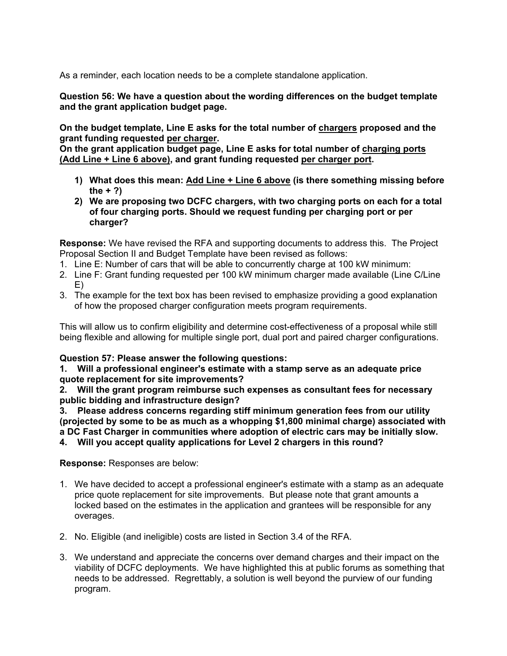As a reminder, each location needs to be a complete standalone application.

**Question 56: We have a question about the wording differences on the budget template and the grant application budget page.**

**On the budget template, Line E asks for the total number of chargers proposed and the grant funding requested per charger.** 

**On the grant application budget page, Line E asks for total number of charging ports (Add Line + Line 6 above), and grant funding requested per charger port.**

- **1) What does this mean: Add Line + Line 6 above (is there something missing before the + ?)**
- **2) We are proposing two DCFC chargers, with two charging ports on each for a total of four charging ports. Should we request funding per charging port or per charger?**

**Response:** We have revised the RFA and supporting documents to address this. The Project Proposal Section II and Budget Template have been revised as follows:

- 1. Line E: Number of cars that will be able to concurrently charge at 100 kW minimum:
- 2. Line F: Grant funding requested per 100 kW minimum charger made available (Line C/Line E)
- 3. The example for the text box has been revised to emphasize providing a good explanation of how the proposed charger configuration meets program requirements.

This will allow us to confirm eligibility and determine cost-effectiveness of a proposal while still being flexible and allowing for multiple single port, dual port and paired charger configurations.

## **Question 57: Please answer the following questions:**

**1. Will a professional engineer's estimate with a stamp serve as an adequate price quote replacement for site improvements?**

**2. Will the grant program reimburse such expenses as consultant fees for necessary public bidding and infrastructure design?**

**3. Please address concerns regarding stiff minimum generation fees from our utility (projected by some to be as much as a whopping \$1,800 minimal charge) associated with a DC Fast Charger in communities where adoption of electric cars may be initially slow.** 

**4. Will you accept quality applications for Level 2 chargers in this round?**

**Response:** Responses are below:

- 1. We have decided to accept a professional engineer's estimate with a stamp as an adequate price quote replacement for site improvements. But please note that grant amounts a locked based on the estimates in the application and grantees will be responsible for any overages.
- 2. No. Eligible (and ineligible) costs are listed in Section 3.4 of the RFA.
- 3. We understand and appreciate the concerns over demand charges and their impact on the viability of DCFC deployments. We have highlighted this at public forums as something that needs to be addressed. Regrettably, a solution is well beyond the purview of our funding program.